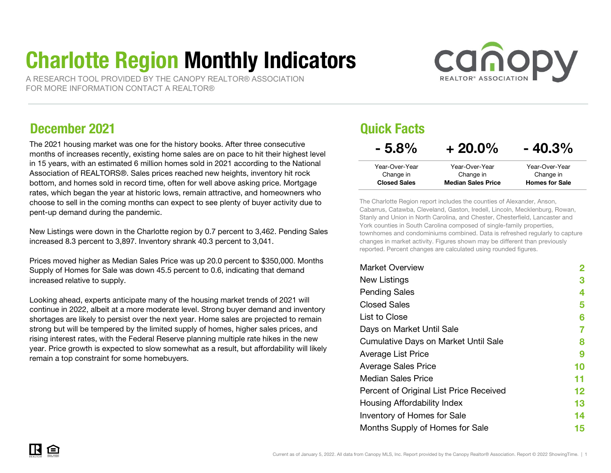# Charlotte Region Monthly Indicators

A RESEARCH TOOL PROVIDED BY THE CANOPY REALTOR® ASSOCIATIONFOR MORE INFORMATION CONTACT A REALTOR®



### December 2021

 The 2021 housing market was one for the history books. After three consecutive months of increases recently, existing home sales are on pace to hit their highest level in 15 years, with an estimated 6 million homes sold in 2021 according to the National Association of REALTORS®. Sales prices reached new heights, inventory hit rock bottom, and homes sold in record time, often for well above asking price. Mortgage rates, which began the year at historic lows, remain attractive, and homeowners who choose to sell in the coming months can expect to see plenty of buyer activity due to pent-up demand during the pandemic.

New Listings were down in the Charlotte region by 0.7 percent to 3,462. Pending Sales increased 8.3 percent to 3,897. Inventory shrank 40.3 percent to 3,041.

Prices moved higher as Median Sales Price was up 20.0 percent to \$350,000. Months Supply of Homes for Sale was down 45.5 percent to 0.6, indicating that demand increased relative to supply.

Looking ahead, experts anticipate many of the housing market trends of 2021 will continue in 2022, albeit at a more moderate level. Strong buyer demand and inventory shortages are likely to persist over the next year. Home sales are projected to remain strong but will be tempered by the limited supply of homes, higher sales prices, and rising interest rates, with the Federal Reserve planning multiple rate hikes in the new year. Price growth is expected to slow somewhat as a result, but affordability will likelyremain a top constraint for some homebuyers.

#### Quick Facts Year-Over-YearChange in Year-Over-YearChange in Closed Sales Median Sales PriceHomes for Sale $-5.8%$  $+20.0\%$  - 40.3% Year-Over-YearChange in

The Charlotte Region report includes the counties of Alexander, Anson, Cabarrus, Catawba, Cleveland, Gaston, Iredell, Lincoln, Mecklenburg, Rowan, Stanly and Union in North Carolina, and Chester, Chesterfield, Lancaster and York counties in South Carolina composed of single-family properties, townhomes and condominiums combined. Data is refreshed regularly to capture changes in market activity. Figures shown may be different than previously reported. Percent changes are calculated using rounded figures.

| <b>Market Overview</b>                      | 2  |
|---------------------------------------------|----|
| New Listings                                | 3  |
| <b>Pending Sales</b>                        | 4  |
| <b>Closed Sales</b>                         | 5  |
| <b>List to Close</b>                        | 6  |
| Days on Market Until Sale                   | 7  |
| <b>Cumulative Days on Market Until Sale</b> | 8  |
| Average List Price                          | 9  |
| <b>Average Sales Price</b>                  | 10 |
| <b>Median Sales Price</b>                   | 11 |
| Percent of Original List Price Received     | 12 |
| Housing Affordability Index                 | 13 |
| <b>Inventory of Homes for Sale</b>          | 14 |
| Months Supply of Homes for Sale             | 15 |
|                                             |    |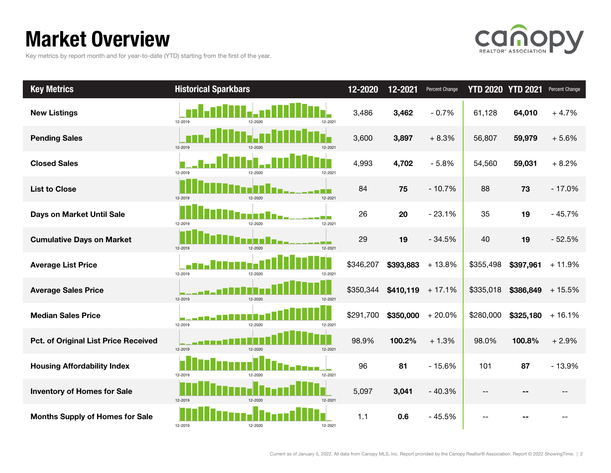# Market Overview

Key metrics by report month and for year-to-date (YTD) starting from the first of the year.



| <b>Key Metrics</b>                          | <b>Historical Sparkbars</b>            | 12-2020   | 12-2021            | <b>Percent Change</b> |                          | <b>YTD 2020 YTD 2021</b> | Percent Change    |
|---------------------------------------------|----------------------------------------|-----------|--------------------|-----------------------|--------------------------|--------------------------|-------------------|
| <b>New Listings</b>                         | 12-2019<br>12-2021<br>12-2020          | 3,486     | 3,462              | $-0.7%$               | 61,128                   | 64,010                   | $+4.7%$           |
| <b>Pending Sales</b>                        | 12-2019<br>12-2020<br>12-2021          | 3,600     | 3,897              | $+8.3%$               | 56,807                   | 59,979                   | $+5.6%$           |
| <b>Closed Sales</b>                         | 12-2019<br>12-2021<br>12-2020          | 4,993     | 4,702              | $-5.8%$               | 54,560                   | 59,031                   | $+8.2%$           |
| <b>List to Close</b>                        | 12-2021<br>12-2019<br>12-2020          | 84        | 75                 | $-10.7%$              | 88                       | 73                       | $-17.0%$          |
| Days on Market Until Sale                   | T H H<br>12-2021<br>12-2019<br>12-2020 | 26        | 20                 | $-23.1%$              | 35                       | 19                       | $-45.7%$          |
| <b>Cumulative Days on Market</b>            | 12-2019<br>12-2020<br>12-2021          | 29        | 19                 | $-34.5%$              | 40                       | 19                       | $-52.5%$          |
| <b>Average List Price</b>                   | 12-2019<br>12-2020<br>12-2021          | \$346,207 | \$393,883          | $+13.8%$              | \$355,498                | \$397,961                | $+11.9%$          |
| <b>Average Sales Price</b>                  | 12-2019<br>12-2020<br>12-2021          | \$350,344 | $$410,119$ + 17.1% |                       | \$335,018                | \$386,849                | $+15.5%$          |
| <b>Median Sales Price</b>                   | 12-2019<br>12-2020<br>12-2021          | \$291,700 | \$350,000          | $+20.0%$              | \$280,000                | \$325,180                | $+16.1%$          |
| <b>Pct. of Original List Price Received</b> | 12-2019<br>12-2020<br>12-2021          | 98.9%     | 100.2%             | $+1.3%$               | 98.0%                    | 100.8%                   | $+2.9%$           |
| <b>Housing Affordability Index</b>          | 12-2021<br>12-2019<br>12-2020          | 96        | 81                 | $-15.6%$              | 101                      | 87                       | $-13.9%$          |
| <b>Inventory of Homes for Sale</b>          | 12-2019<br>12-2020<br>12-2021          | 5,097     | 3,041              | $-40.3%$              | $\overline{\phantom{a}}$ | --                       | $\qquad \qquad -$ |
| <b>Months Supply of Homes for Sale</b>      | 12-2019<br>12-2020<br>12-2021          | 1.1       | 0.6                | $-45.5%$              |                          |                          |                   |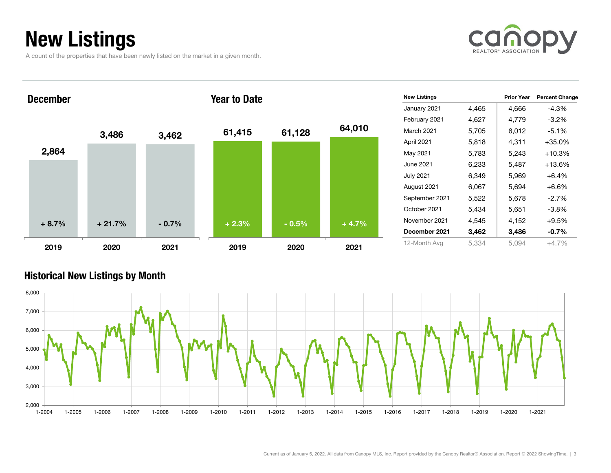# New Listings

A count of the properties that have been newly listed on the market in a given month.





### Historical New Listings by Month

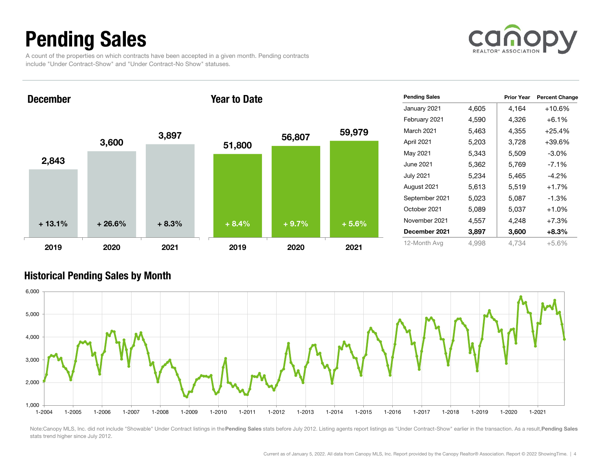# Pending Sales

A count of the properties on which contracts have been accepted in a given month. Pending contracts include "Under Contract-Show" and "Under Contract-No Show" statuses.



December

#### Year to Date



| <b>Pending Sales</b> |       | <b>Prior Year</b> | <b>Percent Change</b> |
|----------------------|-------|-------------------|-----------------------|
| January 2021         | 4,605 | 4,164             | $+10.6%$              |
| February 2021        | 4,590 | 4,326             | $+6.1%$               |
| March 2021           | 5,463 | 4,355             | $+25.4%$              |
| April 2021           | 5,203 | 3,728             | $+39.6%$              |
| May 2021             | 5,343 | 5,509             | $-3.0\%$              |
| June 2021            | 5,362 | 5,769             | $-7.1%$               |
| <b>July 2021</b>     | 5,234 | 5,465             | $-4.2%$               |
| August 2021          | 5,613 | 5,519             | $+1.7%$               |
| September 2021       | 5,023 | 5,087             | $-1.3%$               |
| October 2021         | 5,089 | 5,037             | $+1.0%$               |
| November 2021        | 4,557 | 4,248             | $+7.3%$               |
| December 2021        | 3,897 | 3,600             | +8.3%                 |
| 12-Month Avg         | 4,998 | 4,734             | $+5.6%$               |

### Historical Pending Sales by Month



Note:Canopy MLS, Inc. did not include "Showable" Under Contract listings in the Pending Sales stats before July 2012. Listing agents report listings as "Under Contract-Show" earlier in the transaction. As a result, Pending stats trend higher since July 2012.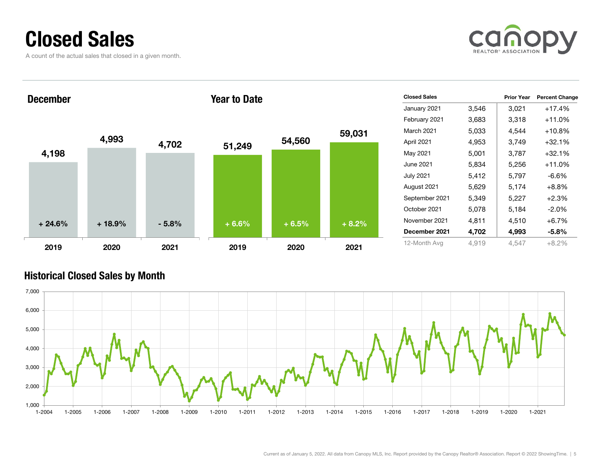### Closed Sales

A count of the actual sales that closed in a given month.





### Historical Closed Sales by Month

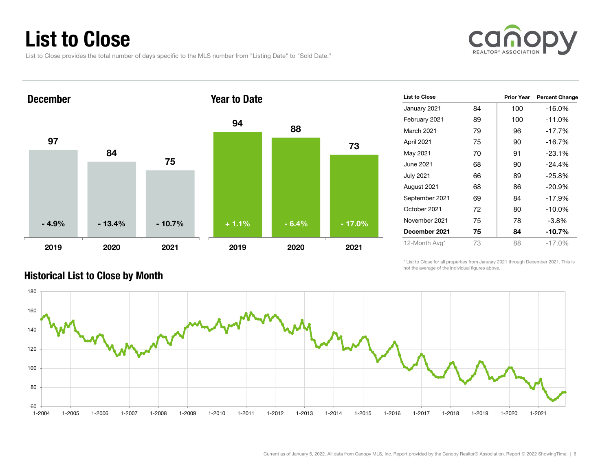# List to Close

List to Close provides the total number of days specific to the MLS number from "Listing Date" to "Sold Date."





| <b>List to Close</b> |    | <b>Prior Year</b> | <b>Percent Change</b> |
|----------------------|----|-------------------|-----------------------|
| January 2021         | 84 | 100               | $-16.0\%$             |
| February 2021        | 89 | 100               | $-11.0%$              |
| March 2021           | 79 | 96                | $-17.7%$              |
| April 2021           | 75 | 90                | $-16.7%$              |
| May 2021             | 70 | 91                | $-23.1%$              |
| June 2021            | 68 | 90                | $-24.4%$              |
| <b>July 2021</b>     | 66 | 89                | $-25.8%$              |
| August 2021          | 68 | 86                | $-20.9\%$             |
| September 2021       | 69 | 84                | -17.9%                |
| October 2021         | 72 | 80                | $-10.0\%$             |
| November 2021        | 75 | 78                | $-3.8\%$              |
| December 2021        | 75 | 84                | $-10.7%$              |
| 12-Month Avg*        | 73 | 88                | $-17.0%$              |

\* List to Close for all properties from January 2021 through December 2021. This is not the average of the individual figures above.



### Historical List to Close by Month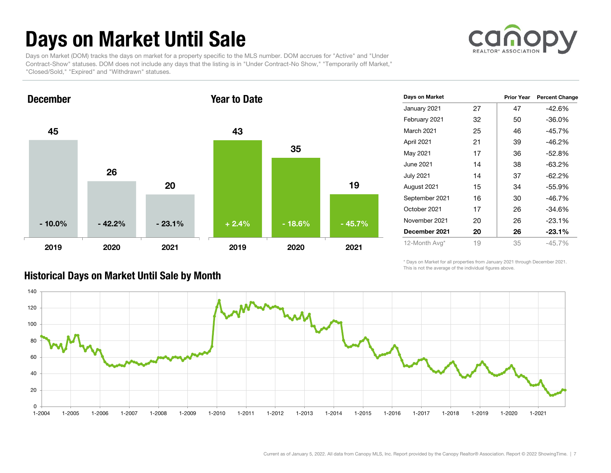# Days on Market Until Sale



Days on Market (DOM) tracks the days on market for a property specific to the MLS number. DOM accrues for "Active" and "Under Contract-Show" statuses. DOM does not include any days that the listing is in "Under Contract-No Show," "Temporarily off Market," "Closed/Sold," "Expired" and "Withdrawn" statuses.



| Days on Market    |    | <b>Prior Year</b> | <b>Percent Change</b> |
|-------------------|----|-------------------|-----------------------|
| January 2021      | 27 | 47                | -42.6%                |
| February 2021     | 32 | 50                | $-36.0\%$             |
| <b>March 2021</b> | 25 | 46                | $-45.7%$              |
| April 2021        | 21 | 39                | -46.2%                |
| May 2021          | 17 | 36                | $-52.8%$              |
| June 2021         | 14 | 38                | $-63.2%$              |
| <b>July 2021</b>  | 14 | 37                | $-62.2%$              |
| August 2021       | 15 | 34                | -55.9%                |
| September 2021    | 16 | 30                | $-46.7%$              |
| October 2021      | 17 | 26                | -34.6%                |
| November 2021     | 20 | 26                | $-23.1%$              |
| December 2021     | 20 | 26                | $-23.1%$              |
| 12-Month Avg*     | 19 | 35                | $-45.7\%$             |

### Historical Days on Market Until Sale by Month

\* Days on Market for all properties from January 2021 through December 2021. This is not the average of the individual figures above.

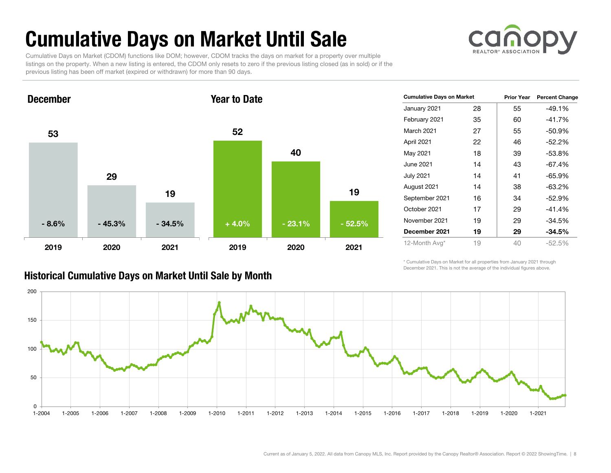# Cumulative Days on Market Until Sale



Cumulative Days on Market (CDOM) functions like DOM; however, CDOM tracks the days on market for a property over multiple listings on the property. When a new listing is entered, the CDOM only resets to zero if the previous listing closed (as in sold) or if the previous listing has been off market (expired or withdrawn) for more than 90 days.



#### Historical Cumulative Days on Market Until Sale by Month

| <b>Cumulative Days on Market</b> |    | Prior Year | <b>Percent Change</b> |  |
|----------------------------------|----|------------|-----------------------|--|
| January 2021                     | 28 | 55         | -49.1%                |  |
| February 2021                    | 35 | 60         | $-41.7%$              |  |
| March 2021                       | 27 | 55         | -50.9%                |  |
| April 2021                       | 22 | 46         | $-52.2%$              |  |
| May 2021                         | 18 | 39         | -53.8%                |  |
| June 2021                        | 14 | 43         | $-67.4%$              |  |
| <b>July 2021</b>                 | 14 | 41         | $-65.9%$              |  |
| August 2021                      | 14 | 38         | $-63.2%$              |  |
| September 2021                   | 16 | 34         | $-52.9%$              |  |
| October 2021                     | 17 | 29         | $-41.4%$              |  |
| November 2021                    | 19 | 29         | -34.5%                |  |
| December 2021                    | 19 | 29         | $-34.5%$              |  |
| 12-Month Avg*                    | 19 | 40         | $-52.5%$              |  |

\* Cumulative Days on Market for all properties from January 2021 through December 2021. This is not the average of the individual figures above.

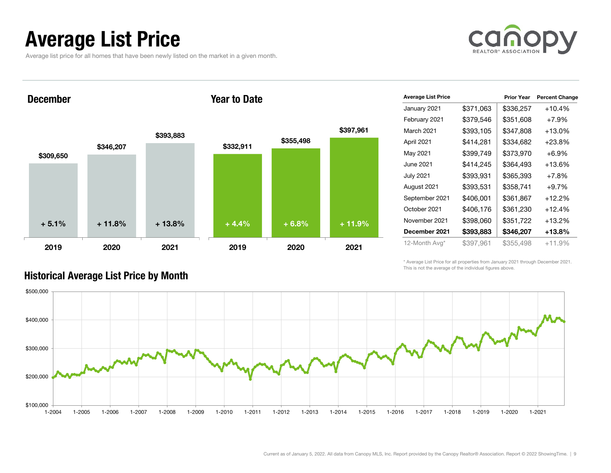# Average List Price

Average list price for all homes that have been newly listed on the market in a given month.



December

#### Year to Date



| <b>Average List Price</b> |           | <b>Prior Year</b> | <b>Percent Change</b> |
|---------------------------|-----------|-------------------|-----------------------|
| January 2021              | \$371,063 | \$336,257         | +10.4%                |
| February 2021             | \$379,546 | \$351,608         | $+7.9%$               |
| March 2021                | \$393,105 | \$347,808         | +13.0%                |
| April 2021                | \$414,281 | \$334,682         | $+23.8%$              |
| May 2021                  | \$399,749 | \$373,970         | $+6.9%$               |
| June 2021                 | \$414,245 | \$364,493         | +13.6%                |
| <b>July 2021</b>          | \$393,931 | \$365,393         | $+7.8%$               |
| August 2021               | \$393,531 | \$358,741         | $+9.7%$               |
| September 2021            | \$406,001 | \$361,867         | +12.2%                |
| October 2021              | \$406,176 | \$361,230         | $+12.4%$              |
| November 2021             | \$398,060 | \$351,722         | +13.2%                |
| December 2021             | \$393,883 | \$346,207         | +13.8%                |
| 12-Month Avg*             | \$397,961 | \$355,498         | $+11.9%$              |

\* Average List Price for all properties from January 2021 through December 2021. This is not the average of the individual figures above.



### Historical Average List Price by Month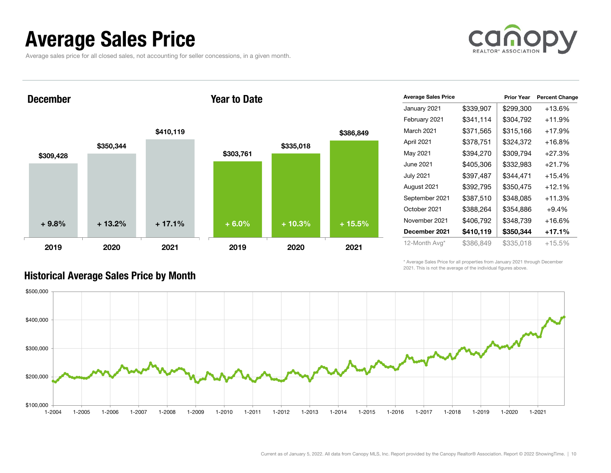## Average Sales Price

Average sales price for all closed sales, not accounting for seller concessions, in a given month.



December

#### Year to Date



| <b>Average Sales Price</b> |           | <b>Prior Year</b> | <b>Percent Change</b> |
|----------------------------|-----------|-------------------|-----------------------|
| January 2021               | \$339,907 | \$299,300         | +13.6%                |
| February 2021              | \$341,114 | \$304,792         | $+11.9%$              |
| March 2021                 | \$371,565 | \$315,166         | $+17.9%$              |
| April 2021                 | \$378,751 | \$324,372         | $+16.8%$              |
| May 2021                   | \$394,270 | \$309,794         | $+27.3%$              |
| June 2021                  | \$405,306 | \$332,983         | $+21.7%$              |
| <b>July 2021</b>           | \$397,487 | \$344,471         | $+15.4%$              |
| August 2021                | \$392,795 | \$350,475         | $+12.1%$              |
| September 2021             | \$387,510 | \$348,085         | $+11.3%$              |
| October 2021               | \$388,264 | \$354,886         | $+9.4%$               |
| November 2021              | \$406,792 | \$348,739         | $+16.6%$              |
| December 2021              | \$410,119 | \$350,344         | +17.1%                |
| 12-Month Avg*              | \$386,849 | \$335,018         | $+15.5%$              |

\* Average Sales Price for all properties from January 2021 through December 2021. This is not the average of the individual figures above.



### Historical Average Sales Price by Month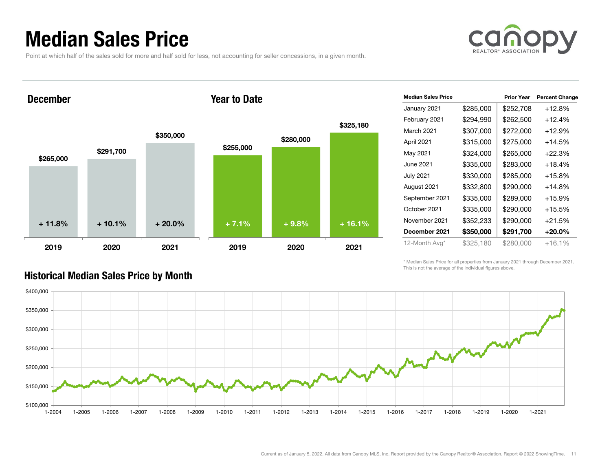## Median Sales Price

Point at which half of the sales sold for more and half sold for less, not accounting for seller concessions, in a given month.



December

#### Year to Date



| <b>Median Sales Price</b> |           | <b>Prior Year</b> | <b>Percent Change</b> |
|---------------------------|-----------|-------------------|-----------------------|
| January 2021              | \$285,000 | \$252,708         | $+12.8%$              |
| February 2021             | \$294,990 | \$262,500         | $+12.4%$              |
| March 2021                | \$307,000 | \$272,000         | $+12.9\%$             |
| April 2021                | \$315,000 | \$275,000         | $+14.5%$              |
| May 2021                  | \$324,000 | \$265,000         | $+22.3%$              |
| June 2021                 | \$335,000 | \$283,000         | +18.4%                |
| <b>July 2021</b>          | \$330,000 | \$285,000         | $+15.8%$              |
| August 2021               | \$332,800 | \$290,000         | $+14.8%$              |
| September 2021            | \$335,000 | \$289,000         | $+15.9%$              |
| October 2021              | \$335,000 | \$290,000         | $+15.5%$              |
| November 2021             | \$352,233 | \$290,000         | +21.5%                |
| December 2021             | \$350,000 | \$291,700         | +20.0%                |
| 12-Month Avg*             | \$325,180 | \$280,000         | +16.1%                |

\* Median Sales Price for all properties from January 2021 through December 2021. This is not the average of the individual figures above.



### Historical Median Sales Price by Month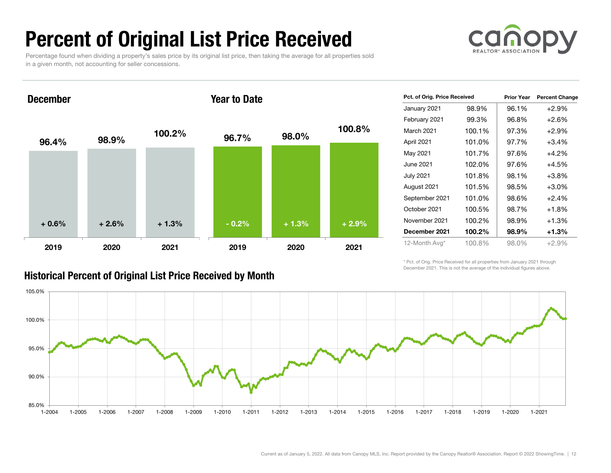# Percent of Original List Price Received

Percentage found when dividing a property's sales price by its original list price, then taking the average for all properties sold in a given month, not accounting for seller concessions.



December

#### Year to Date



### Historical Percent of Original List Price Received by Month

| Pct. of Orig. Price Received |        | <b>Prior Year</b> | <b>Percent Change</b> |
|------------------------------|--------|-------------------|-----------------------|
| January 2021                 | 98.9%  | 96.1%             | $+2.9%$               |
| February 2021                | 99.3%  | 96.8%             | $+2.6%$               |
| <b>March 2021</b>            | 100.1% | 97.3%             | $+2.9%$               |
| April 2021                   | 101.0% | 97.7%             | $+3.4%$               |
| May 2021                     | 101.7% | 97.6%             | $+4.2%$               |
| June 2021                    | 102.0% | 97.6%             | $+4.5%$               |
| <b>July 2021</b>             | 101.8% | 98.1%             | $+3.8%$               |
| August 2021                  | 101.5% | 98.5%             | $+3.0%$               |
| September 2021               | 101.0% | 98.6%             | $+2.4%$               |
| October 2021                 | 100.5% | 98.7%             | $+1.8%$               |
| November 2021                | 100.2% | 98.9%             | +1.3%                 |
| December 2021                | 100.2% | 98.9%             | $+1.3%$               |
| 12-Month Avg*                | 100.8% | 98.0%             | $+2.9%$               |

\* Pct. of Orig. Price Received for all properties from January 2021 through December 2021. This is not the average of the individual figures above.

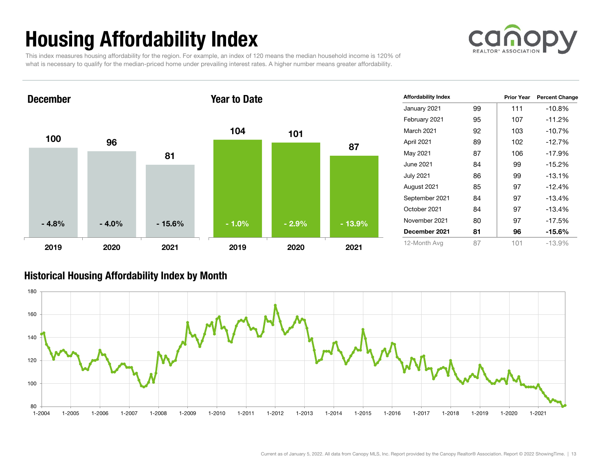# Housing Affordability Index



This index measures housing affordability for the region. For example, an index of 120 means the median household income is 120% of what is necessary to qualify for the median-priced home under prevailing interest rates. A higher number means greater affordability.



| <b>Affordability Index</b> |    | <b>Prior Year</b> | <b>Percent Change</b> |
|----------------------------|----|-------------------|-----------------------|
| January 2021               | 99 | 111               | $-10.8%$              |
| February 2021              | 95 | 107               | $-11.2%$              |
| <b>March 2021</b>          | 92 | 103               | $-10.7%$              |
| April 2021                 | 89 | 102               | $-12.7%$              |
| May 2021                   | 87 | 106               | -17.9%                |
| June 2021                  | 84 | 99                | $-15.2%$              |
| <b>July 2021</b>           | 86 | 99                | $-13.1%$              |
| August 2021                | 85 | 97                | $-12.4%$              |
| September 2021             | 84 | 97                | $-13.4%$              |
| October 2021               | 84 | 97                | $-13.4%$              |
| November 2021              | 80 | 97                | -17.5%                |
| December 2021              | 81 | 96                | $-15.6\%$             |
| 12-Month Avg               | 87 | 101               | $-13.9%$              |

### Historical Housing Affordability Index by Mont h

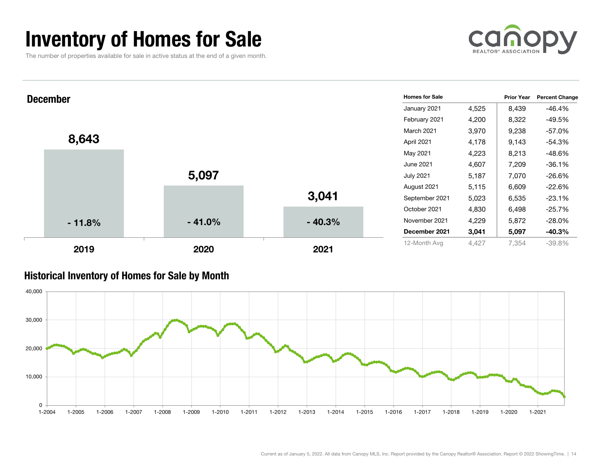## Inventory of Homes for Sale

The number of properties available for sale in active status at the end of a given month.





### Historical Inventory of Homes for Sale by Month